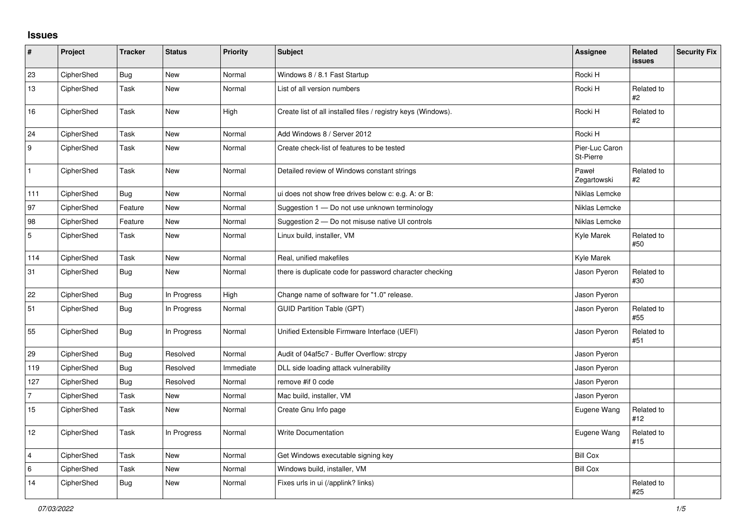## **Issues**

| $\vert$ #        | Project    | <b>Tracker</b> | <b>Status</b> | Priority  | Subject                                                       | <b>Assignee</b>             | <b>Related</b><br><b>issues</b> | <b>Security Fix</b> |
|------------------|------------|----------------|---------------|-----------|---------------------------------------------------------------|-----------------------------|---------------------------------|---------------------|
| 23               | CipherShed | <b>Bug</b>     | <b>New</b>    | Normal    | Windows 8 / 8.1 Fast Startup                                  | Rocki H                     |                                 |                     |
| 13               | CipherShed | Task           | New           | Normal    | List of all version numbers                                   | Rocki H                     | Related to<br>#2                |                     |
| 16               | CipherShed | Task           | New           | High      | Create list of all installed files / registry keys (Windows). | Rocki H                     | Related to<br>#2                |                     |
| 24               | CipherShed | Task           | <b>New</b>    | Normal    | Add Windows 8 / Server 2012                                   | Rocki H                     |                                 |                     |
| $\boldsymbol{9}$ | CipherShed | Task           | New           | Normal    | Create check-list of features to be tested                    | Pier-Luc Caron<br>St-Pierre |                                 |                     |
| $\mathbf{1}$     | CipherShed | Task           | <b>New</b>    | Normal    | Detailed review of Windows constant strings                   | Paweł<br>Zegartowski        | Related to<br>#2                |                     |
| 111              | CipherShed | <b>Bug</b>     | New           | Normal    | ui does not show free drives below c: e.g. A: or B:           | Niklas Lemcke               |                                 |                     |
| 97               | CipherShed | Feature        | New           | Normal    | Suggestion 1 - Do not use unknown terminology                 | Niklas Lemcke               |                                 |                     |
| 98               | CipherShed | Feature        | New           | Normal    | Suggestion 2 - Do not misuse native UI controls               | Niklas Lemcke               |                                 |                     |
| $\overline{5}$   | CipherShed | Task           | New           | Normal    | Linux build, installer, VM                                    | Kyle Marek                  | Related to<br>#50               |                     |
| 114              | CipherShed | Task           | New           | Normal    | Real, unified makefiles                                       | Kyle Marek                  |                                 |                     |
| 31               | CipherShed | <b>Bug</b>     | New           | Normal    | there is duplicate code for password character checking       | Jason Pyeron                | Related to<br>#30               |                     |
| 22               | CipherShed | <b>Bug</b>     | In Progress   | High      | Change name of software for "1.0" release.                    | Jason Pyeron                |                                 |                     |
| 51               | CipherShed | <b>Bug</b>     | In Progress   | Normal    | <b>GUID Partition Table (GPT)</b>                             | Jason Pyeron                | Related to<br>#55               |                     |
| 55               | CipherShed | <b>Bug</b>     | In Progress   | Normal    | Unified Extensible Firmware Interface (UEFI)                  | Jason Pyeron                | Related to<br>#51               |                     |
| 29               | CipherShed | <b>Bug</b>     | Resolved      | Normal    | Audit of 04af5c7 - Buffer Overflow: strcpy                    | Jason Pyeron                |                                 |                     |
| 119              | CipherShed | <b>Bug</b>     | Resolved      | Immediate | DLL side loading attack vulnerability                         | Jason Pyeron                |                                 |                     |
| 127              | CipherShed | <b>Bug</b>     | Resolved      | Normal    | remove #if 0 code                                             | Jason Pyeron                |                                 |                     |
| $\overline{7}$   | CipherShed | Task           | New           | Normal    | Mac build, installer, VM                                      | Jason Pyeron                |                                 |                     |
| 15               | CipherShed | Task           | <b>New</b>    | Normal    | Create Gnu Info page                                          | Eugene Wang                 | Related to<br>#12               |                     |
| 12               | CipherShed | Task           | In Progress   | Normal    | <b>Write Documentation</b>                                    | Eugene Wang                 | Related to<br>#15               |                     |
| $\overline{4}$   | CipherShed | Task           | <b>New</b>    | Normal    | Get Windows executable signing key                            | <b>Bill Cox</b>             |                                 |                     |
| $\,6\,$          | CipherShed | Task           | New           | Normal    | Windows build, installer, VM                                  | <b>Bill Cox</b>             |                                 |                     |
| 14               | CipherShed | <b>Bug</b>     | New           | Normal    | Fixes urls in ui (/applink? links)                            |                             | Related to<br>#25               |                     |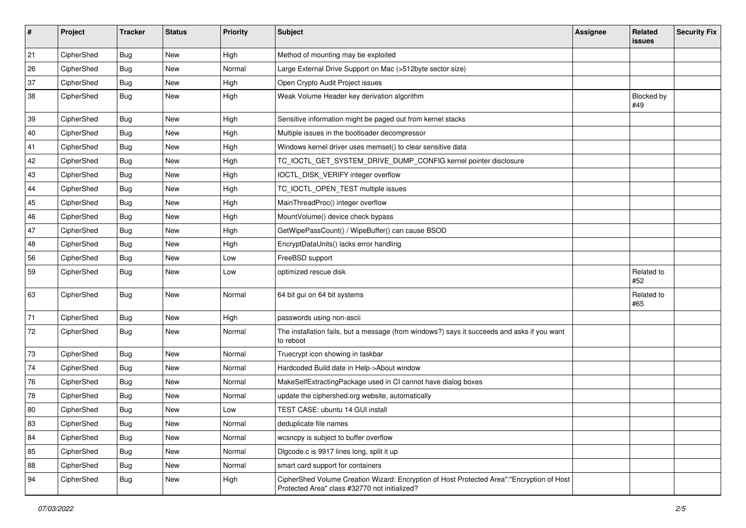| $\sharp$ | Project    | <b>Tracker</b> | <b>Status</b> | <b>Priority</b> | Subject                                                                                                                                    | <b>Assignee</b> | Related<br><b>issues</b> | <b>Security Fix</b> |
|----------|------------|----------------|---------------|-----------------|--------------------------------------------------------------------------------------------------------------------------------------------|-----------------|--------------------------|---------------------|
| 21       | CipherShed | <b>Bug</b>     | <b>New</b>    | High            | Method of mounting may be exploited                                                                                                        |                 |                          |                     |
| 26       | CipherShed | <b>Bug</b>     | <b>New</b>    | Normal          | Large External Drive Support on Mac (>512byte sector size)                                                                                 |                 |                          |                     |
| 37       | CipherShed | <b>Bug</b>     | New           | High            | Open Crypto Audit Project issues                                                                                                           |                 |                          |                     |
| 38       | CipherShed | Bug            | <b>New</b>    | High            | Weak Volume Header key derivation algorithm                                                                                                |                 | Blocked by<br>#49        |                     |
| 39       | CipherShed | <b>Bug</b>     | New           | High            | Sensitive information might be paged out from kernel stacks                                                                                |                 |                          |                     |
| 40       | CipherShed | <b>Bug</b>     | New           | High            | Multiple issues in the bootloader decompressor                                                                                             |                 |                          |                     |
| 41       | CipherShed | <b>Bug</b>     | New           | High            | Windows kernel driver uses memset() to clear sensitive data                                                                                |                 |                          |                     |
| 42       | CipherShed | <b>Bug</b>     | <b>New</b>    | High            | TC_IOCTL_GET_SYSTEM_DRIVE_DUMP_CONFIG kernel pointer disclosure                                                                            |                 |                          |                     |
| 43       | CipherShed | <b>Bug</b>     | <b>New</b>    | High            | IOCTL_DISK_VERIFY integer overflow                                                                                                         |                 |                          |                     |
| 44       | CipherShed | <b>Bug</b>     | New           | High            | TC_IOCTL_OPEN_TEST multiple issues                                                                                                         |                 |                          |                     |
| 45       | CipherShed | <b>Bug</b>     | New           | High            | MainThreadProc() integer overflow                                                                                                          |                 |                          |                     |
| 46       | CipherShed | <b>Bug</b>     | New           | High            | MountVolume() device check bypass                                                                                                          |                 |                          |                     |
| 47       | CipherShed | <b>Bug</b>     | New           | High            | GetWipePassCount() / WipeBuffer() can cause BSOD                                                                                           |                 |                          |                     |
| 48       | CipherShed | <b>Bug</b>     | New           | High            | EncryptDataUnits() lacks error handling                                                                                                    |                 |                          |                     |
| 56       | CipherShed | Bug            | New           | Low             | FreeBSD support                                                                                                                            |                 |                          |                     |
| 59       | CipherShed | <b>Bug</b>     | <b>New</b>    | Low             | optimized rescue disk                                                                                                                      |                 | Related to<br>#52        |                     |
| 63       | CipherShed | <b>Bug</b>     | New           | Normal          | 64 bit gui on 64 bit systems                                                                                                               |                 | Related to<br>#65        |                     |
| 71       | CipherShed | <b>Bug</b>     | <b>New</b>    | High            | passwords using non-ascii                                                                                                                  |                 |                          |                     |
| 72       | CipherShed | <b>Bug</b>     | New           | Normal          | The installation fails, but a message (from windows?) says it succeeds and asks if you want<br>to reboot                                   |                 |                          |                     |
| 73       | CipherShed | <b>Bug</b>     | <b>New</b>    | Normal          | Truecrypt icon showing in taskbar                                                                                                          |                 |                          |                     |
| 74       | CipherShed | <b>Bug</b>     | New           | Normal          | Hardcoded Build date in Help->About window                                                                                                 |                 |                          |                     |
| 76       | CipherShed | <b>Bug</b>     | New           | Normal          | MakeSelfExtractingPackage used in CI cannot have dialog boxes                                                                              |                 |                          |                     |
| 78       | CipherShed | <b>Bug</b>     | New           | Normal          | update the ciphershed.org website, automatically                                                                                           |                 |                          |                     |
| 80       | CipherShed | Bug            | New           | Low             | TEST CASE: ubuntu 14 GUI install                                                                                                           |                 |                          |                     |
| 83       | CipherShed | <b>Bug</b>     | New           | Normal          | deduplicate file names                                                                                                                     |                 |                          |                     |
| 84       | CipherShed | <b>Bug</b>     | New           | Normal          | wcsncpy is subject to buffer overflow                                                                                                      |                 |                          |                     |
| 85       | CipherShed | <b>Bug</b>     | New           | Normal          | Digcode.c is 9917 lines long, split it up                                                                                                  |                 |                          |                     |
| 88       | CipherShed | <b>Bug</b>     | New           | Normal          | smart card support for containers                                                                                                          |                 |                          |                     |
| 94       | CipherShed | <b>Bug</b>     | New           | High            | CipherShed Volume Creation Wizard: Encryption of Host Protected Area":"Encryption of Host<br>Protected Area" class #32770 not initialized? |                 |                          |                     |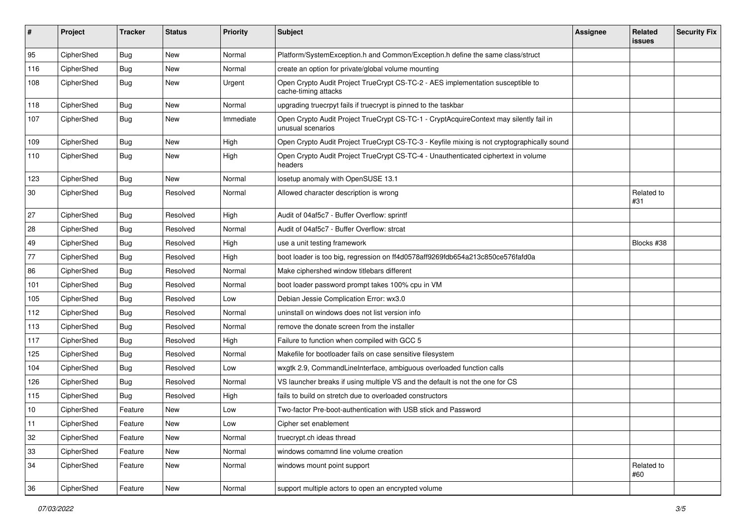| #   | Project    | <b>Tracker</b> | <b>Status</b> | <b>Priority</b> | Subject                                                                                                     | <b>Assignee</b> | Related<br><b>issues</b> | <b>Security Fix</b> |
|-----|------------|----------------|---------------|-----------------|-------------------------------------------------------------------------------------------------------------|-----------------|--------------------------|---------------------|
| 95  | CipherShed | <b>Bug</b>     | New           | Normal          | Platform/SystemException.h and Common/Exception.h define the same class/struct                              |                 |                          |                     |
| 116 | CipherShed | <b>Bug</b>     | New           | Normal          | create an option for private/global volume mounting                                                         |                 |                          |                     |
| 108 | CipherShed | Bug            | New           | Urgent          | Open Crypto Audit Project TrueCrypt CS-TC-2 - AES implementation susceptible to<br>cache-timing attacks     |                 |                          |                     |
| 118 | CipherShed | <b>Bug</b>     | <b>New</b>    | Normal          | upgrading truecrpyt fails if truecrypt is pinned to the taskbar                                             |                 |                          |                     |
| 107 | CipherShed | <b>Bug</b>     | New           | Immediate       | Open Crypto Audit Project TrueCrypt CS-TC-1 - CryptAcquireContext may silently fail in<br>unusual scenarios |                 |                          |                     |
| 109 | CipherShed | <b>Bug</b>     | New           | High            | Open Crypto Audit Project TrueCrypt CS-TC-3 - Keyfile mixing is not cryptographically sound                 |                 |                          |                     |
| 110 | CipherShed | <b>Bug</b>     | New           | High            | Open Crypto Audit Project TrueCrypt CS-TC-4 - Unauthenticated ciphertext in volume<br>headers               |                 |                          |                     |
| 123 | CipherShed | <b>Bug</b>     | <b>New</b>    | Normal          | losetup anomaly with OpenSUSE 13.1                                                                          |                 |                          |                     |
| 30  | CipherShed | <b>Bug</b>     | Resolved      | Normal          | Allowed character description is wrong                                                                      |                 | Related to<br>#31        |                     |
| 27  | CipherShed | <b>Bug</b>     | Resolved      | High            | Audit of 04af5c7 - Buffer Overflow: sprintf                                                                 |                 |                          |                     |
| 28  | CipherShed | <b>Bug</b>     | Resolved      | Normal          | Audit of 04af5c7 - Buffer Overflow: strcat                                                                  |                 |                          |                     |
| 49  | CipherShed | <b>Bug</b>     | Resolved      | High            | use a unit testing framework                                                                                |                 | Blocks #38               |                     |
| 77  | CipherShed | <b>Bug</b>     | Resolved      | High            | boot loader is too big, regression on ff4d0578aff9269fdb654a213c850ce576fafd0a                              |                 |                          |                     |
| 86  | CipherShed | <b>Bug</b>     | Resolved      | Normal          | Make ciphershed window titlebars different                                                                  |                 |                          |                     |
| 101 | CipherShed | <b>Bug</b>     | Resolved      | Normal          | boot loader password prompt takes 100% cpu in VM                                                            |                 |                          |                     |
| 105 | CipherShed | Bug            | Resolved      | Low             | Debian Jessie Complication Error: wx3.0                                                                     |                 |                          |                     |
| 112 | CipherShed | <b>Bug</b>     | Resolved      | Normal          | uninstall on windows does not list version info                                                             |                 |                          |                     |
| 113 | CipherShed | Bug            | Resolved      | Normal          | remove the donate screen from the installer                                                                 |                 |                          |                     |
| 117 | CipherShed | <b>Bug</b>     | Resolved      | High            | Failure to function when compiled with GCC 5                                                                |                 |                          |                     |
| 125 | CipherShed | <b>Bug</b>     | Resolved      | Normal          | Makefile for bootloader fails on case sensitive filesystem                                                  |                 |                          |                     |
| 104 | CipherShed | Bug            | Resolved      | Low             | wxgtk 2.9, CommandLineInterface, ambiguous overloaded function calls                                        |                 |                          |                     |
| 126 | CipherShed | Bug            | Resolved      | Normal          | VS launcher breaks if using multiple VS and the default is not the one for CS                               |                 |                          |                     |
| 115 | CipherShed | <b>Bug</b>     | Resolved      | High            | fails to build on stretch due to overloaded constructors                                                    |                 |                          |                     |
| 10  | CipherShed | Feature        | New           | Low             | Two-factor Pre-boot-authentication with USB stick and Password                                              |                 |                          |                     |
| 11  | CipherShed | Feature        | New           | LOW             | Cipher set enablement                                                                                       |                 |                          |                     |
| 32  | CipherShed | Feature        | New           | Normal          | truecrypt.ch ideas thread                                                                                   |                 |                          |                     |
| 33  | CipherShed | Feature        | New           | Normal          | windows comamnd line volume creation                                                                        |                 |                          |                     |
| 34  | CipherShed | Feature        | New           | Normal          | windows mount point support                                                                                 |                 | Related to<br>#60        |                     |
| 36  | CipherShed | Feature        | New           | Normal          | support multiple actors to open an encrypted volume                                                         |                 |                          |                     |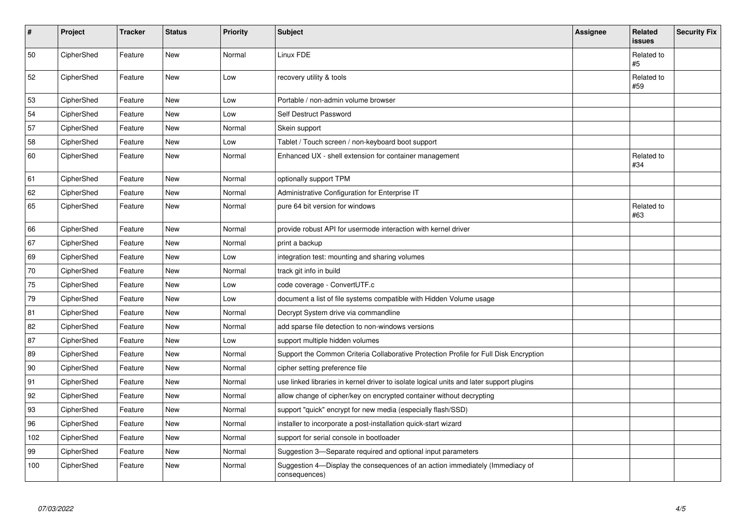| $\vert$ # | Project    | <b>Tracker</b> | <b>Status</b> | Priority | <b>Subject</b>                                                                                | <b>Assignee</b> | Related<br><b>issues</b> | <b>Security Fix</b> |
|-----------|------------|----------------|---------------|----------|-----------------------------------------------------------------------------------------------|-----------------|--------------------------|---------------------|
| 50        | CipherShed | Feature        | New           | Normal   | Linux FDE                                                                                     |                 | Related to<br>#5         |                     |
| 52        | CipherShed | Feature        | <b>New</b>    | Low      | recovery utility & tools                                                                      |                 | Related to<br>#59        |                     |
| 53        | CipherShed | Feature        | <b>New</b>    | Low      | Portable / non-admin volume browser                                                           |                 |                          |                     |
| 54        | CipherShed | Feature        | <b>New</b>    | Low      | Self Destruct Password                                                                        |                 |                          |                     |
| 57        | CipherShed | Feature        | <b>New</b>    | Normal   | Skein support                                                                                 |                 |                          |                     |
| 58        | CipherShed | Feature        | New           | Low      | Tablet / Touch screen / non-keyboard boot support                                             |                 |                          |                     |
| 60        | CipherShed | Feature        | New           | Normal   | Enhanced UX - shell extension for container management                                        |                 | Related to<br>#34        |                     |
| 61        | CipherShed | Feature        | <b>New</b>    | Normal   | optionally support TPM                                                                        |                 |                          |                     |
| 62        | CipherShed | Feature        | <b>New</b>    | Normal   | Administrative Configuration for Enterprise IT                                                |                 |                          |                     |
| 65        | CipherShed | Feature        | New           | Normal   | pure 64 bit version for windows                                                               |                 | Related to<br>#63        |                     |
| 66        | CipherShed | Feature        | New           | Normal   | provide robust API for usermode interaction with kernel driver                                |                 |                          |                     |
| 67        | CipherShed | Feature        | <b>New</b>    | Normal   | print a backup                                                                                |                 |                          |                     |
| 69        | CipherShed | Feature        | New           | Low      | integration test: mounting and sharing volumes                                                |                 |                          |                     |
| $70\,$    | CipherShed | Feature        | New           | Normal   | track git info in build                                                                       |                 |                          |                     |
| 75        | CipherShed | Feature        | New           | Low      | code coverage - ConvertUTF.c                                                                  |                 |                          |                     |
| 79        | CipherShed | Feature        | New           | Low      | document a list of file systems compatible with Hidden Volume usage                           |                 |                          |                     |
| 81        | CipherShed | Feature        | New           | Normal   | Decrypt System drive via commandline                                                          |                 |                          |                     |
| 82        | CipherShed | Feature        | <b>New</b>    | Normal   | add sparse file detection to non-windows versions                                             |                 |                          |                     |
| 87        | CipherShed | Feature        | <b>New</b>    | Low      | support multiple hidden volumes                                                               |                 |                          |                     |
| 89        | CipherShed | Feature        | <b>New</b>    | Normal   | Support the Common Criteria Collaborative Protection Profile for Full Disk Encryption         |                 |                          |                     |
| 90        | CipherShed | Feature        | <b>New</b>    | Normal   | cipher setting preference file                                                                |                 |                          |                     |
| 91        | CipherShed | Feature        | New           | Normal   | use linked libraries in kernel driver to isolate logical units and later support plugins      |                 |                          |                     |
| 92        | CipherShed | Feature        | New           | Normal   | allow change of cipher/key on encrypted container without decrypting                          |                 |                          |                     |
| 93        | CipherShed | Feature        | New           | Normal   | support "quick" encrypt for new media (especially flash/SSD)                                  |                 |                          |                     |
| 96        | CipherShed | Feature        | <b>New</b>    | Normal   | installer to incorporate a post-installation quick-start wizard                               |                 |                          |                     |
| 102       | CipherShed | Feature        | New           | Normal   | support for serial console in bootloader                                                      |                 |                          |                     |
| 99        | CipherShed | Feature        | <b>New</b>    | Normal   | Suggestion 3-Separate required and optional input parameters                                  |                 |                          |                     |
| 100       | CipherShed | Feature        | New           | Normal   | Suggestion 4-Display the consequences of an action immediately (Immediacy of<br>consequences) |                 |                          |                     |